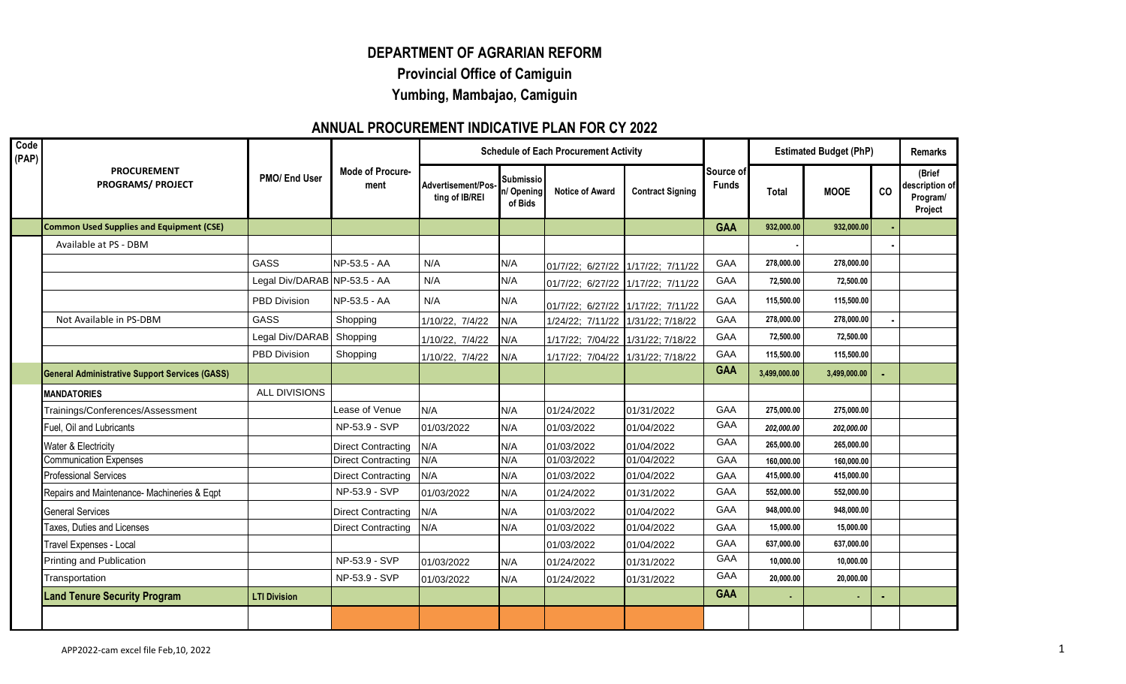## **DEPARTMENT OF AGRARIAN REFORM Provincial Office of Camiguin Yumbing, Mambajao, Camiguin**

## **ANNUAL PROCUREMENT INDICATIVE PLAN FOR CY 2022**

| Code<br>(PAP) | <b>PROCUREMENT</b><br><b>PROGRAMS/ PROJECT</b>        | PMO/ End User                | <b>Mode of Procure-</b><br>ment | <b>Schedule of Each Procurement Activity</b> |                                           |                                   |                         |                           | <b>Estimated Budget (PhP)</b> |              |    | <b>Remarks</b>                                  |  |
|---------------|-------------------------------------------------------|------------------------------|---------------------------------|----------------------------------------------|-------------------------------------------|-----------------------------------|-------------------------|---------------------------|-------------------------------|--------------|----|-------------------------------------------------|--|
|               |                                                       |                              |                                 | Advertisement/Pos-<br>ting of IB/REI         | <b>Submissio</b><br>n/ Opening<br>of Bids | <b>Notice of Award</b>            | <b>Contract Signing</b> | Source of<br><b>Funds</b> | <b>Total</b>                  | <b>MOOE</b>  | CO | (Brief<br>description of<br>Program/<br>Project |  |
|               | <b>Common Used Supplies and Equipment (CSE)</b>       |                              |                                 |                                              |                                           |                                   |                         | <b>GAA</b>                | 932,000.00                    | 932,000.00   |    |                                                 |  |
|               | Available at PS - DBM                                 |                              |                                 |                                              |                                           |                                   |                         |                           |                               |              |    |                                                 |  |
|               |                                                       | <b>GASS</b>                  | NP-53.5 - AA                    | N/A                                          | N/A                                       | 01/7/22; 6/27/22 1/17/22; 7/11/22 |                         | GAA                       | 278,000.00                    | 278,000.00   |    |                                                 |  |
|               |                                                       | Legal Div/DARAB NP-53.5 - AA |                                 | N/A                                          | N/A                                       | 01/7/22; 6/27/22 1/17/22; 7/11/22 |                         | GAA                       | 72,500.00                     | 72,500.00    |    |                                                 |  |
|               |                                                       | <b>PBD Division</b>          | NP-53.5 - AA                    | N/A                                          | N/A                                       | 01/7/22; 6/27/22 1/17/22; 7/11/22 |                         | GAA                       | 115,500.00                    | 115,500.00   |    |                                                 |  |
|               | Not Available in PS-DBM                               | GASS                         | Shopping                        | 1/10/22, 7/4/22                              | N/A                                       | 1/24/22; 7/11/22 1/31/22; 7/18/22 |                         | GAA                       | 278,000.00                    | 278,000.00   |    |                                                 |  |
|               |                                                       | Legal Div/DARAB              | Shopping                        | 1/10/22, 7/4/22                              | N/A                                       | 1/17/22; 7/04/22 1/31/22; 7/18/22 |                         | GAA                       | 72,500.00                     | 72,500.00    |    |                                                 |  |
|               |                                                       | <b>PBD Division</b>          | Shopping                        | 1/10/22, 7/4/22                              | N/A                                       | 1/17/22; 7/04/22 1/31/22; 7/18/22 |                         | GAA                       | 115,500.00                    | 115,500.00   |    |                                                 |  |
|               | <b>General Administrative Support Services (GASS)</b> |                              |                                 |                                              |                                           |                                   |                         | <b>GAA</b>                | 3.499.000.00                  | 3,499,000.00 |    |                                                 |  |
|               | <b>MANDATORIES</b>                                    | ALL DIVISIONS                |                                 |                                              |                                           |                                   |                         |                           |                               |              |    |                                                 |  |
|               | Trainings/Conferences/Assessment                      |                              | Lease of Venue                  | N/A                                          | N/A                                       | 01/24/2022                        | 01/31/2022              | GAA                       | 275,000.00                    | 275,000.00   |    |                                                 |  |
|               | Fuel, Oil and Lubricants                              |                              | NP-53.9 - SVP                   | 01/03/2022                                   | N/A                                       | 01/03/2022                        | 01/04/2022              | GAA                       | 202,000.00                    | 202,000.00   |    |                                                 |  |
|               | Water & Electricity                                   |                              | <b>Direct Contracting</b>       | N/A                                          | N/A                                       | 01/03/2022                        | 01/04/2022              | <b>GAA</b>                | 265,000.00                    | 265,000.00   |    |                                                 |  |
|               | <b>Communication Expenses</b>                         |                              | <b>Direct Contracting</b>       | N/A                                          | N/A                                       | 01/03/2022                        | 01/04/2022              | <b>GAA</b>                | 160.000.00                    | 160,000.00   |    |                                                 |  |
|               | <b>Professional Services</b>                          |                              | <b>Direct Contracting</b>       | N/A                                          | N/A                                       | 01/03/2022                        | 01/04/2022              | GAA                       | 415,000.00                    | 415,000.00   |    |                                                 |  |
|               | Repairs and Maintenance- Machineries & Eqpt           |                              | NP-53.9 - SVP                   | 01/03/2022                                   | N/A                                       | 01/24/2022                        | 01/31/2022              | GAA                       | 552,000.00                    | 552,000.00   |    |                                                 |  |
|               | <b>General Services</b>                               |                              | <b>Direct Contracting</b>       | N/A                                          | N/A                                       | 01/03/2022                        | 01/04/2022              | GAA                       | 948,000.00                    | 948,000.00   |    |                                                 |  |
|               | Taxes, Duties and Licenses                            |                              | <b>Direct Contracting</b>       | N/A                                          | N/A                                       | 01/03/2022                        | 01/04/2022              | <b>GAA</b>                | 15,000.00                     | 15,000.00    |    |                                                 |  |
|               | Travel Expenses - Local                               |                              |                                 |                                              |                                           | 01/03/2022                        | 01/04/2022              | <b>GAA</b>                | 637,000.00                    | 637.000.00   |    |                                                 |  |
|               | Printing and Publication                              |                              | NP-53.9 - SVP                   | 01/03/2022                                   | N/A                                       | 01/24/2022                        | 01/31/2022              | GAA                       | 10,000.00                     | 10,000.00    |    |                                                 |  |
|               | Transportation                                        |                              | NP-53.9 - SVP                   | 01/03/2022                                   | N/A                                       | 01/24/2022                        | 01/31/2022              | GAA                       | 20,000.00                     | 20,000.00    |    |                                                 |  |
|               | <b>Land Tenure Security Program</b>                   | <b>LTI Division</b>          |                                 |                                              |                                           |                                   |                         | <b>GAA</b>                |                               |              |    |                                                 |  |
|               |                                                       |                              |                                 |                                              |                                           |                                   |                         |                           |                               |              |    |                                                 |  |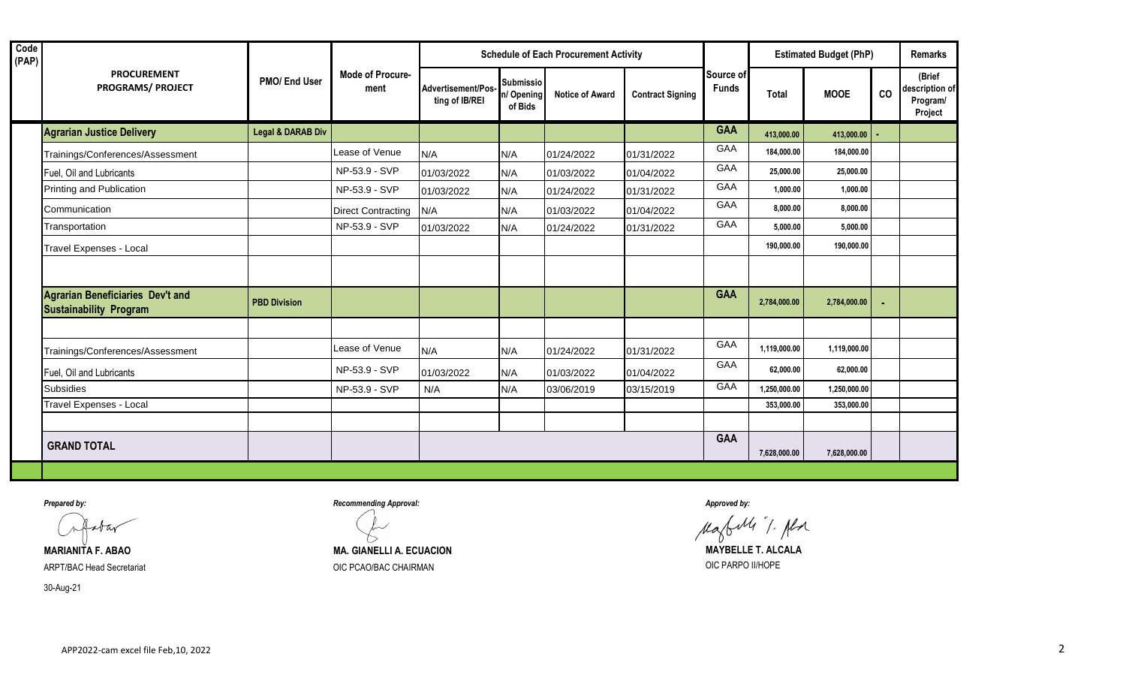| Code<br>(PAP) |                                                                          |                              | <b>Mode of Procure-</b><br>ment | <b>Schedule of Each Procurement Activity</b> |                                           |                        |                         |                           | <b>Estimated Budget (PhP)</b> |              |    | <b>Remarks</b>                                  |  |
|---------------|--------------------------------------------------------------------------|------------------------------|---------------------------------|----------------------------------------------|-------------------------------------------|------------------------|-------------------------|---------------------------|-------------------------------|--------------|----|-------------------------------------------------|--|
|               | <b>PROCUREMENT</b><br><b>PROGRAMS/ PROJECT</b>                           | PMO/ End User                |                                 | Advertisement/Pos-<br>ting of IB/REI         | <b>Submissio</b><br>n/ Opening<br>of Bids | <b>Notice of Award</b> | <b>Contract Signing</b> | Source of<br><b>Funds</b> | <b>Total</b>                  | <b>MOOE</b>  | CO | (Brief<br>description of<br>Program/<br>Project |  |
|               | <b>Agrarian Justice Delivery</b>                                         | <b>Legal &amp; DARAB Div</b> |                                 |                                              |                                           |                        |                         | <b>GAA</b>                | 413,000.00                    | 413,000.00   |    |                                                 |  |
|               | Trainings/Conferences/Assessment                                         |                              | Lease of Venue                  | N/A                                          | N/A                                       | 01/24/2022             | 01/31/2022              | GAA                       | 184,000.00                    | 184,000.00   |    |                                                 |  |
|               | Fuel, Oil and Lubricants                                                 |                              | NP-53.9 - SVP                   | 01/03/2022                                   | N/A                                       | 01/03/2022             | 01/04/2022              | <b>GAA</b>                | 25,000.00                     | 25,000.00    |    |                                                 |  |
|               | Printing and Publication                                                 |                              | NP-53.9 - SVP                   | 01/03/2022                                   | N/A                                       | 01/24/2022             | 01/31/2022              | GAA                       | 1,000.00                      | 1,000.00     |    |                                                 |  |
|               | Communication                                                            |                              | <b>Direct Contracting</b>       | N/A                                          | N/A                                       | 01/03/2022             | 01/04/2022              | GAA                       | 8,000.00                      | 8,000.00     |    |                                                 |  |
|               | Transportation                                                           |                              | NP-53.9 - SVP                   | 01/03/2022                                   | N/A                                       | 01/24/2022             | 01/31/2022              | GAA                       | 5,000.00                      | 5,000.00     |    |                                                 |  |
|               | Travel Expenses - Local                                                  |                              |                                 |                                              |                                           |                        |                         |                           | 190,000.00                    | 190,000.00   |    |                                                 |  |
|               |                                                                          |                              |                                 |                                              |                                           |                        |                         |                           |                               |              |    |                                                 |  |
|               | <b>Agrarian Beneficiaries Dev't and</b><br><b>Sustainability Program</b> | <b>PBD Division</b>          |                                 |                                              |                                           |                        |                         | <b>GAA</b>                | 2,784,000.00                  | 2,784,000.00 |    |                                                 |  |
|               |                                                                          |                              |                                 |                                              |                                           |                        |                         |                           |                               |              |    |                                                 |  |
|               | Trainings/Conferences/Assessment                                         |                              | Lease of Venue                  | N/A                                          | N/A                                       | 01/24/2022             | 01/31/2022              | GAA                       | 1,119,000.00                  | 1,119,000.00 |    |                                                 |  |
|               | Fuel, Oil and Lubricants                                                 |                              | NP-53.9 - SVP                   | 01/03/2022                                   | N/A                                       | 01/03/2022             | 01/04/2022              | GAA                       | 62,000.00                     | 62,000.00    |    |                                                 |  |
|               | <b>Subsidies</b>                                                         |                              | NP-53.9 - SVP                   | N/A                                          | N/A                                       | 03/06/2019             | 03/15/2019              | GAA                       | 1,250,000.00                  | 1,250,000.00 |    |                                                 |  |
|               | Travel Expenses - Local                                                  |                              |                                 |                                              |                                           |                        |                         |                           | 353,000.00                    | 353,000.00   |    |                                                 |  |
|               |                                                                          |                              |                                 |                                              |                                           |                        |                         |                           |                               |              |    |                                                 |  |
|               | <b>GRAND TOTAL</b>                                                       |                              |                                 |                                              |                                           |                        |                         | <b>GAA</b>                | 7,628,000.00                  | 7,628,000.00 |    |                                                 |  |

ARPT/BAC Head Secretariat **Access 2000 COVID-SECRETATION** OIC PCAO/BAC CHAIRMAN **COVID-SECRETATION** OIC PARPO II/HOPE

30-Aug-21

*Prepared by: Recommending Approval: Approved by:*

Magbells T. Alse

**MARIANITA F. ABAO MA. GIANELLI A. ECUACION MAYBELLE T. ALCALA**